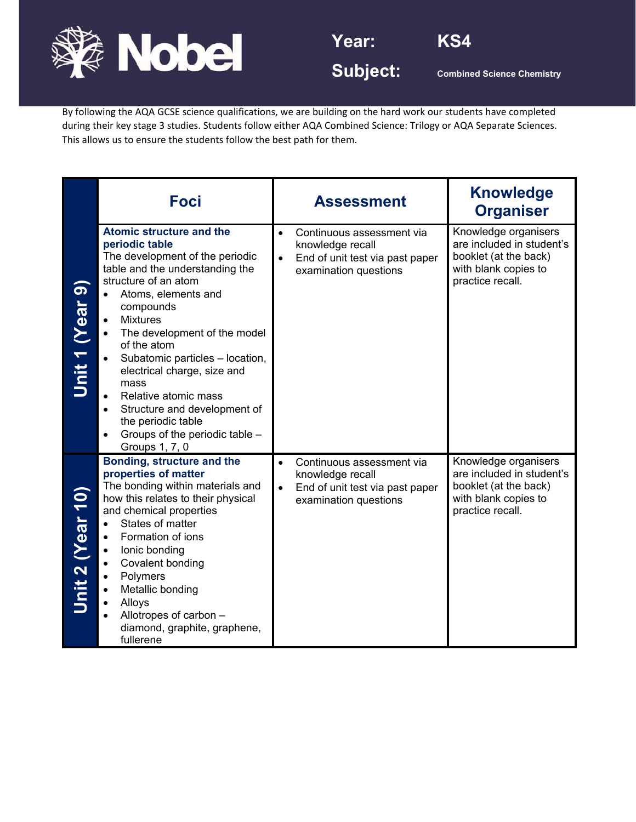



By following the AQA GCSE science qualifications, we are building on the hard work our students have completed during their key stage 3 studies. Students follow either AQA Combined Science: Trilogy or AQA Separate Sciences. This allows us to ensure the students follow the best path for them.

|                         | <b>Foci</b>                                                                                                                                                                                                                                                                                                                                                                                                                                                                                                                        | <b>Assessment</b>                                                                                                                   | <b>Knowledge</b><br><b>Organiser</b>                                                                                   |
|-------------------------|------------------------------------------------------------------------------------------------------------------------------------------------------------------------------------------------------------------------------------------------------------------------------------------------------------------------------------------------------------------------------------------------------------------------------------------------------------------------------------------------------------------------------------|-------------------------------------------------------------------------------------------------------------------------------------|------------------------------------------------------------------------------------------------------------------------|
| Unit 1 (Year 9          | <b>Atomic structure and the</b><br>periodic table<br>The development of the periodic<br>table and the understanding the<br>structure of an atom<br>Atoms, elements and<br>$\bullet$<br>compounds<br><b>Mixtures</b><br>$\bullet$<br>The development of the model<br>$\bullet$<br>of the atom<br>Subatomic particles - location,<br>electrical charge, size and<br>mass<br>Relative atomic mass<br>$\bullet$<br>Structure and development of<br>$\bullet$<br>the periodic table<br>Groups of the periodic table -<br>Groups 1, 7, 0 | Continuous assessment via<br>$\bullet$<br>knowledge recall<br>End of unit test via past paper<br>$\bullet$<br>examination questions | Knowledge organisers<br>are included in student's<br>booklet (at the back)<br>with blank copies to<br>practice recall. |
| <b>Jnit 2 (Year 10)</b> | Bonding, structure and the<br>properties of matter<br>The bonding within materials and<br>how this relates to their physical<br>and chemical properties<br>States of matter<br>$\bullet$<br>Formation of ions<br>$\bullet$<br>lonic bonding<br>$\bullet$<br>Covalent bonding<br>$\bullet$<br>Polymers<br>Metallic bonding<br>$\bullet$<br>Alloys<br>$\bullet$<br>Allotropes of carbon -<br>diamond, graphite, graphene,<br>fullerene                                                                                               | Continuous assessment via<br>$\bullet$<br>knowledge recall<br>End of unit test via past paper<br>$\bullet$<br>examination questions | Knowledge organisers<br>are included in student's<br>booklet (at the back)<br>with blank copies to<br>practice recall. |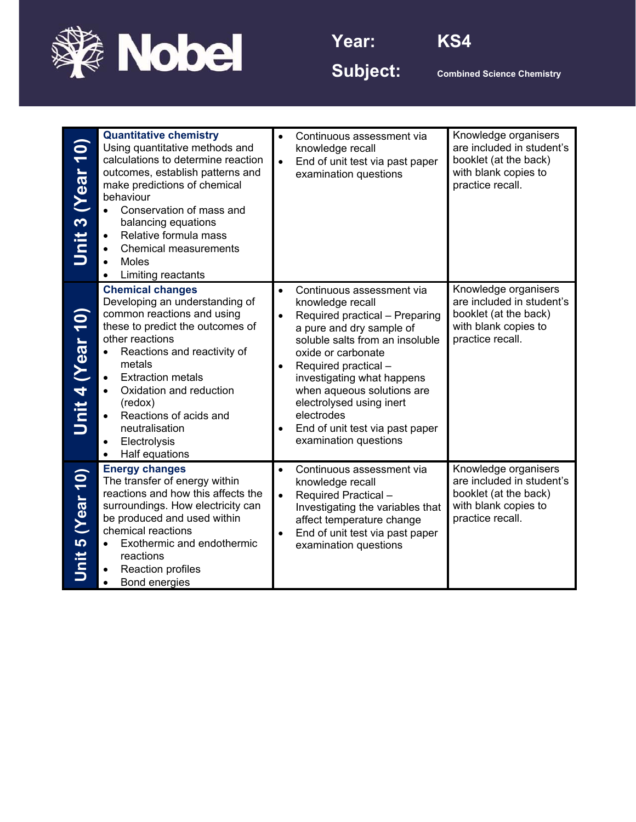



Subject: **Combined Science Chemistry** 

| $\overline{10}$<br><b>Near</b><br>$\boldsymbol{\infty}$<br>Unit | <b>Quantitative chemistry</b><br>Using quantitative methods and<br>calculations to determine reaction<br>outcomes, establish patterns and<br>make predictions of chemical<br>behaviour<br>Conservation of mass and<br>$\bullet$<br>balancing equations<br>Relative formula mass<br><b>Chemical measurements</b><br>$\bullet$<br><b>Moles</b><br>Limiting reactants<br>$\bullet$             | $\bullet$<br>$\bullet$ | Continuous assessment via<br>knowledge recall<br>End of unit test via past paper<br>examination questions                                                                                                                                                                                                                                                      | Knowledge organisers<br>are included in student's<br>booklet (at the back)<br>with blank copies to<br>practice recall. |
|-----------------------------------------------------------------|---------------------------------------------------------------------------------------------------------------------------------------------------------------------------------------------------------------------------------------------------------------------------------------------------------------------------------------------------------------------------------------------|------------------------|----------------------------------------------------------------------------------------------------------------------------------------------------------------------------------------------------------------------------------------------------------------------------------------------------------------------------------------------------------------|------------------------------------------------------------------------------------------------------------------------|
| Unit 4 (Year 10)                                                | <b>Chemical changes</b><br>Developing an understanding of<br>common reactions and using<br>these to predict the outcomes of<br>other reactions<br>Reactions and reactivity of<br>metals<br><b>Extraction metals</b><br>$\bullet$<br>Oxidation and reduction<br>$\bullet$<br>(redox)<br>Reactions of acids and<br>$\bullet$<br>neutralisation<br>Electrolysis<br>$\bullet$<br>Half equations | $\bullet$              | Continuous assessment via<br>knowledge recall<br>Required practical - Preparing<br>a pure and dry sample of<br>soluble salts from an insoluble<br>oxide or carbonate<br>Required practical -<br>investigating what happens<br>when aqueous solutions are<br>electrolysed using inert<br>electrodes<br>End of unit test via past paper<br>examination questions | Knowledge organisers<br>are included in student's<br>booklet (at the back)<br>with blank copies to<br>practice recall. |
| (10)<br><u>LO</u><br>Unit                                       | <b>Energy changes</b><br>The transfer of energy within<br>reactions and how this affects the<br>surroundings. How electricity can<br>be produced and used within<br>chemical reactions<br>Exothermic and endothermic<br>reactions<br>Reaction profiles<br>Bond energies                                                                                                                     | $\bullet$<br>$\bullet$ | Continuous assessment via<br>knowledge recall<br>Required Practical -<br>Investigating the variables that<br>affect temperature change<br>End of unit test via past paper<br>examination questions                                                                                                                                                             | Knowledge organisers<br>are included in student's<br>booklet (at the back)<br>with blank copies to<br>practice recall. |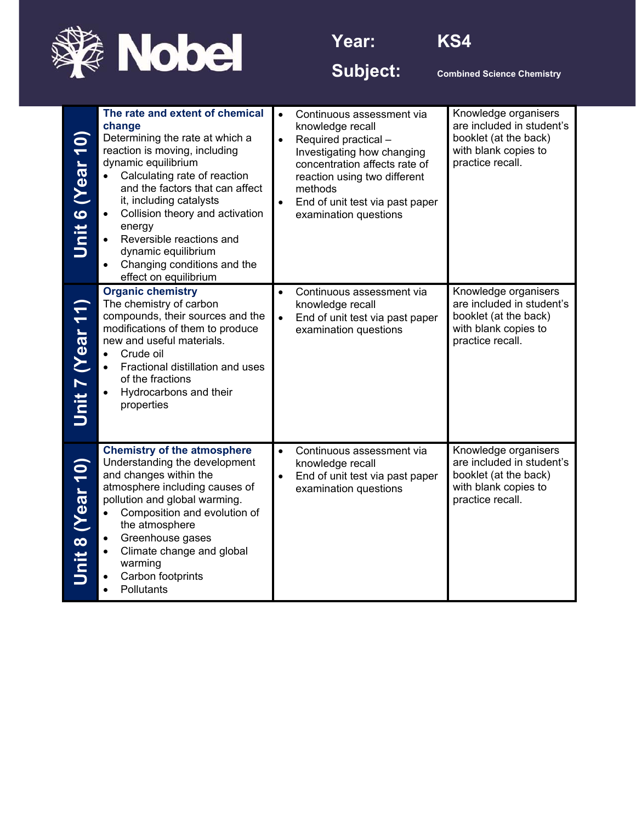



Subject: **Combined Science Chemistry** 

| Unit 6 (Year 10) | The rate and extent of chemical<br>change<br>Determining the rate at which a<br>reaction is moving, including<br>dynamic equilibrium<br>Calculating rate of reaction<br>$\bullet$<br>and the factors that can affect<br>it, including catalysts<br>Collision theory and activation<br>$\bullet$<br>energy<br>Reversible reactions and<br>$\bullet$<br>dynamic equilibrium<br>Changing conditions and the<br>$\bullet$<br>effect on equilibrium | Continuous assessment via<br>$\bullet$<br>knowledge recall<br>Required practical -<br>$\bullet$<br>Investigating how changing<br>concentration affects rate of<br>reaction using two different<br>methods<br>End of unit test via past paper<br>examination questions | Knowledge organisers<br>are included in student's<br>booklet (at the back)<br>with blank copies to<br>practice recall. |
|------------------|------------------------------------------------------------------------------------------------------------------------------------------------------------------------------------------------------------------------------------------------------------------------------------------------------------------------------------------------------------------------------------------------------------------------------------------------|-----------------------------------------------------------------------------------------------------------------------------------------------------------------------------------------------------------------------------------------------------------------------|------------------------------------------------------------------------------------------------------------------------|
| Unit 7 (Year 11) | <b>Organic chemistry</b><br>The chemistry of carbon<br>compounds, their sources and the<br>modifications of them to produce<br>new and useful materials.<br>Crude oil<br>$\bullet$<br>Fractional distillation and uses<br>$\bullet$<br>of the fractions<br>Hydrocarbons and their<br>$\bullet$<br>properties                                                                                                                                   | Continuous assessment via<br>knowledge recall<br>End of unit test via past paper<br>examination questions                                                                                                                                                             | Knowledge organisers<br>are included in student's<br>booklet (at the back)<br>with blank copies to<br>practice recall. |
| Unit 8 (Year 10) | <b>Chemistry of the atmosphere</b><br>Understanding the development<br>and changes within the<br>atmosphere including causes of<br>pollution and global warming.<br>Composition and evolution of<br>$\bullet$<br>the atmosphere<br>Greenhouse gases<br>$\bullet$<br>Climate change and global<br>warming<br>Carbon footprints<br>٠<br>Pollutants<br>$\bullet$                                                                                  | Continuous assessment via<br>$\bullet$<br>knowledge recall<br>End of unit test via past paper<br>$\bullet$<br>examination questions                                                                                                                                   | Knowledge organisers<br>are included in student's<br>booklet (at the back)<br>with blank copies to<br>practice recall. |